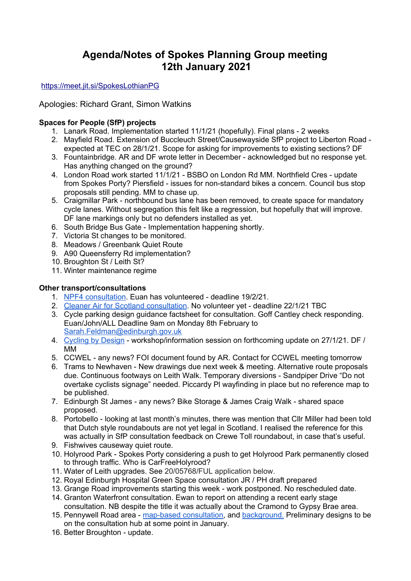# **Agenda/Notes of Spokes Planning Group meeting 12th January 2021**

<https://meet.jit.si/SpokesLothianPG>

Apologies: Richard Grant, Simon Watkins

### **Spaces for People (SfP) projects**

- 1. Lanark Road. Implementation started 11/1/21 (hopefully). Final plans 2 weeks
- 2. Mayfield Road. Extension of Buccleuch Street/Causewayside SfP project to Liberton Road expected at TEC on 28/1/21. Scope for asking for improvements to existing sections? DF
- 3. Fountainbridge. AR and DF wrote letter in December acknowledged but no response yet. Has anything changed on the ground?
- 4. London Road work started 11/1/21 BSBO on London Rd MM. Northfield Cres update from Spokes Porty? Piersfield - issues for non-standard bikes a concern. Council bus stop proposals still pending. MM to chase up.
- 5. Craigmillar Park northbound bus lane has been removed, to create space for mandatory cycle lanes. Without segregation this felt like a regression, but hopefully that will improve. DF lane markings only but no defenders installed as yet.
- 6. South Bridge Bus Gate Implementation happening shortly.
- 7. Victoria St changes to be monitored.
- 8. Meadows / Greenbank Quiet Route
- 9. A90 Queensferry Rd implementation?
- 10. Broughton St / Leith St?
- 11. Winter maintenance regime

#### **Other transport/consultations**

- 1. NPF4 [consultation](https://consult.gov.scot/planning-architecture/national-planning-framework-position-statement/). Euan has volunteered deadline 19/2/21.
- 2. Cleaner Air for Scotland [consultation](https://consult.gov.scot/environmental-quality/cleaner-air-for-scotland-2/). No volunteer yet deadline 22/1/21 TBC
- 3. Cycle parking design guidance factsheet for consultation. Goff Cantley check responding. Euan/John/ALL Deadline 9am on Monday 8th February to [Sarah.Feldman@edinburgh.gov.uk](mailto:Sarah.Feldman@edinburgh.gov.uk)
- 4. [Cycling](https://www.transport.gov.scot/media/14173/cycling_by_design_2010__rev_1__june_2011_.pdf) by Design workshop/information session on forthcoming update on 27/1/21. DF / MM
- 5. CCWEL any news? FOI document found by AR. Contact for CCWEL meeting tomorrow
- 6. Trams to Newhaven New drawings due next week & meeting. Alternative route proposals due. Continuous footways on Leith Walk. Temporary diversions - Sandpiper Drive "Do not overtake cyclists signage" needed. Piccardy Pl wayfinding in place but no reference map to be published.
- 7. Edinburgh St James any news? Bike Storage & James Craig Walk shared space proposed.
- 8. Portobello looking at last month's minutes, there was mention that Cllr Miller had been told that Dutch style roundabouts are not yet legal in Scotland. I realised the reference for this was actually in SfP consultation feedback on Crewe Toll roundabout, in case that's useful.
- 9. Fishwives causeway quiet route.
- 10. Holyrood Park Spokes Porty considering a push to get Holyrood Park permanently closed to through traffic. Who is CarFreeHolyrood?
- 11. Water of Leith upgrades. See 20/05768/FUL application below.
- 12. Royal Edinburgh Hospital Green Space consultation JR / PH draft prepared
- 13. Grange Road improvements starting this week work postponed. No rescheduled date.
- 14. Granton Waterfront consultation. Ewan to report on attending a recent early stage consultation. NB despite the title it was actually about the Cramond to Gypsy Brae area.
- 15. Pennywell Road area map-based [consultation,](https://neatconnections.commonplace.is/comments) and [background.](https://neatconnections.commonplace.is/news) Preliminary designs to be on the consultation hub at some point in January.
- 16. Better Broughton update.